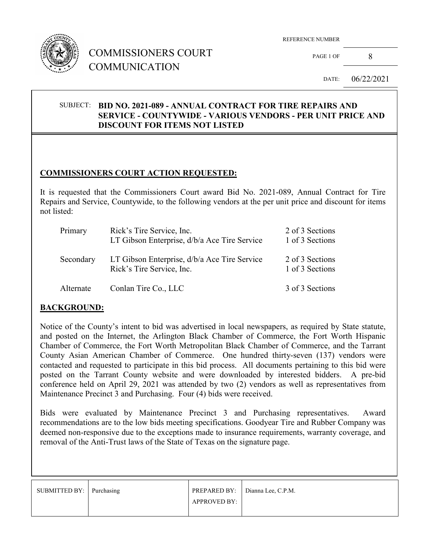

## COMMISSIONERS COURT COMMUNICATION

REFERENCE NUMBER

PAGE 1 OF 8

DATE: 06/22/2021

#### SUBJECT: **BID NO. 2021-089 - ANNUAL CONTRACT FOR TIRE REPAIRS AND SERVICE - COUNTYWIDE - VARIOUS VENDORS - PER UNIT PRICE AND DISCOUNT FOR ITEMS NOT LISTED**

## **COMMISSIONERS COURT ACTION REQUESTED:**

It is requested that the Commissioners Court award Bid No. 2021-089, Annual Contract for Tire Repairs and Service, Countywide, to the following vendors at the per unit price and discount for items not listed:

| Primary   | Rick's Tire Service, Inc.<br>LT Gibson Enterprise, d/b/a Ace Tire Service | 2 of 3 Sections<br>1 of 3 Sections |
|-----------|---------------------------------------------------------------------------|------------------------------------|
| Secondary | LT Gibson Enterprise, d/b/a Ace Tire Service<br>Rick's Tire Service, Inc. | 2 of 3 Sections<br>1 of 3 Sections |
| Alternate | Conlan Tire Co., LLC                                                      | 3 of 3 Sections                    |

#### **BACKGROUND:**

Notice of the County's intent to bid was advertised in local newspapers, as required by State statute, and posted on the Internet, the Arlington Black Chamber of Commerce, the Fort Worth Hispanic Chamber of Commerce, the Fort Worth Metropolitan Black Chamber of Commerce, and the Tarrant County Asian American Chamber of Commerce. One hundred thirty-seven (137) vendors were contacted and requested to participate in this bid process. All documents pertaining to this bid were posted on the Tarrant County website and were downloaded by interested bidders. A pre-bid conference held on April 29, 2021 was attended by two (2) vendors as well as representatives from Maintenance Precinct 3 and Purchasing. Four (4) bids were received.

Bids were evaluated by Maintenance Precinct 3 and Purchasing representatives. Award recommendations are to the low bids meeting specifications. Goodyear Tire and Rubber Company was deemed non-responsive due to the exceptions made to insurance requirements, warranty coverage, and removal of the Anti-Trust laws of the State of Texas on the signature page.

| SUBMITTED BY: Purchasing |              | PREPARED BY: Dianna Lee, C.P.M. |
|--------------------------|--------------|---------------------------------|
|                          | APPROVED BY: |                                 |